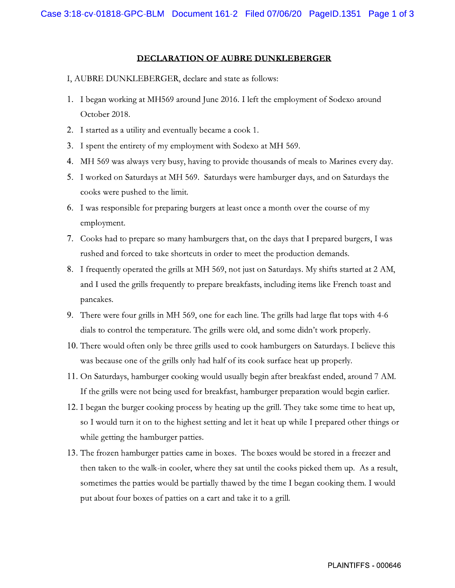## **DECLARATION OF AUBRE DUNKLEBERGER**

- I, AUBRE DUNKLEBERGER, declare and state as follows:
- 1. I began working at MH569 around June 2016. I left the employment of Sodexo around October 2018.
- 2. I started as a utility and eventually became a cook 1.
- 3. I spent the entirety of my employment with Sodexo at MH 569.
- 4. MH 569 was always very busy, having to provide thousands of meals to Marines every day.
- 5. I worked on Saturdays at MH 569. Saturdays were hamburger days, and on Saturdays the cooks were pushed to the limit.
- 6. I was responsible for preparing burgers at least once a month over the course of my employment.
- 7. Cooks had to prepare so many hamburgers that, on the days that I prepared burgers, I was rushed and forced to take shortcuts in order to meet the production demands.
- 8. I frequently operated the grills at MH 569, not just on Saturdays. My shifts started at 2 AM, and I used the grills frequently to prepare breakfasts, including items like French toast and pancakes.
- 9. There were four grills in MH 569, one for each line. The grills had large flat tops with 4-6 dials to control the temperature. The grills were old, and some didn't work properly.
- 10. There would often only be three grills used to cook hamburgers on Saturdays. I believe this was because one of the grills only had half of its cook surface heat up properly.
- 11. On Saturdays, hamburger cooking would usually begin after breakfast ended, around 7 AM. If the grills were not being used for breakfast, hamburger preparation would begin earlier.
- 12. I began the burger cooking process by heating up the grill. They take some time to heat up, so I would turn it on to the highest setting and let it heat up while I prepared other things or while getting the hamburger patties.
- 13. The frozen hamburger patties came in boxes. The boxes would be stored in a freezer and then taken to the walk-in cooler, where they sat until the cooks picked them up. As a result, sometimes the patties would be partially thawed by the time I began cooking them. I would put about four boxes of patties on a cart and take it to a grill.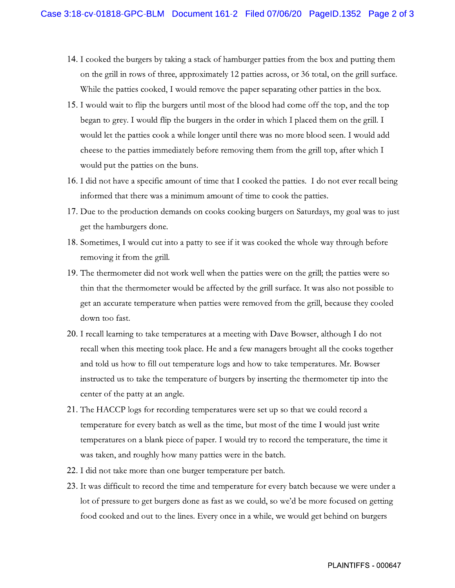- 14. I cooked the burgers by taking a stack of hamburger patties from the box and putting them on the grill in rows of three, approximately 12 patties across, or 36 total, on the grill surface. While the patties cooked, I would remove the paper separating other patties in the box.
- 15. I would wait to flip the burgers until most of the blood had come off the top, and the top began to grey. I would flip the burgers in the order in which I placed them on the grill. I would let the patties cook a while longer until there was no more blood seen. I would add cheese to the patties immediately before removing them from the grill top, after which I would put the patties on the buns.
- 16. I did not have a specific amount of time that I cooked the patties. I do not ever recall being informed that there was a minimum amount of time to cook the patties.
- 17. Due to the production demands on cooks cooking burgers on Saturdays, my goal was to just get the hamburgers done.
- 18. Sometimes, I would cut into a patty to see if it was cooked the whole way through before removing it from the grill.
- 19. The thermometer did not work well when the patties were on the grill; the patties were so thin that the thermometer would be affected by the grill surface. It was also not possible to get an accurate temperature when patties were removed from the grill, because they cooled down too fast.
- 20. I recall learning to take temperatures at a meeting with Dave Bowser, although I do not recall when this meeting took place. He and a few managers brought all the cooks together and told us how to fill out temperature logs and how to take temperatures. Mr. Bowser instructed us to take the temperature of burgers by inserting the thermometer tip into the center of the patty at an angle.
- 21. The HACCP logs for recording temperatures were set up so that we could record a temperature for every batch as well as the time, but most of the time I would just write temperatures on a blank piece of paper. I would try to record the temperature, the time it was taken, and roughly how many patties were in the batch.
- 22. I did not take more than one burger temperature per batch.
- 23. It was difficult to record the time and temperature for every batch because we were under a lot of pressure to get burgers done as fast as we could, so we'd be more focused on getting food cooked and out to the lines. Every once in a while, we would get behind on burgers